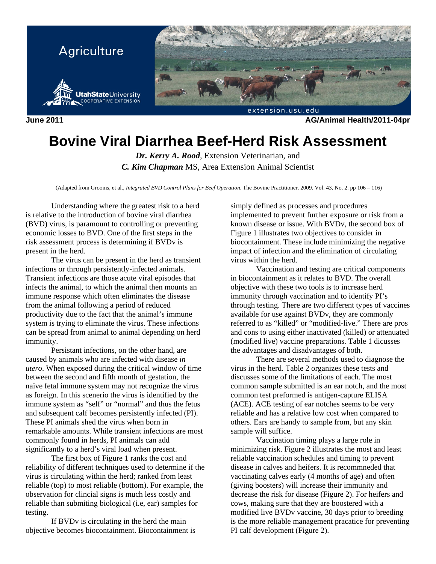

**June 2011 AG/Animal Health/2011-04pr** 

# **Bovine Viral Diarrhea Beef-Herd Risk Assessment**

*Dr. Kerry A. Rood*, Extension Veterinarian, and *C. Kim Chapman* MS, Area Extension Animal Scientist

(Adapted from Grooms, et al., *Integrated BVD Control Plans for Beef Operation*. The Bovine Practitioner. 2009. Vol. 43, No. 2. pp 106 – 116)

Understanding where the greatest risk to a herd is relative to the introduction of bovine viral diarrhea (BVD) virus, is paramount to controlling or preventing economic losses to BVD. One of the first steps in the risk assessment process is determining if BVDv is present in the herd.

The virus can be present in the herd as transient infections or through persistently-infected animals. Transient infections are those acute viral episodes that infects the animal, to which the animal then mounts an immune response which often eliminates the disease from the animal following a period of reduced productivity due to the fact that the animal's immune system is trying to eliminate the virus. These infections can be spread from animal to animal depending on herd immunity.

Persistant infections, on the other hand, are caused by animals who are infected with disease *in utero*. When exposed during the critical window of time between the second and fifth month of gestation, the naïve fetal immune system may not recognize the virus as foreign. In this scenerio the virus is identified by the immune system as "self" or "normal" and thus the fetus and subsequent calf becomes persistently infected (PI). These PI animals shed the virus when born in remarkable amounts. While transient infections are most commonly found in herds, PI animals can add significantly to a herd's viral load when present.

The first box of Figure 1 ranks the cost and reliability of different techniques used to determine if the virus is circulating within the herd; ranked from least reliable (top) to most reliable (bottom). For example, the observation for clincial signs is much less costly and reliable than submiting biological (i.e, ear) samples for testing.

If BVDv is circulating in the herd the main objective becomes biocontainment. Biocontainment is

simply defined as processes and procedures implemented to prevent further exposure or risk from a known disease or issue. With BVDv, the second box of Figure 1 illustrates two objectives to consider in biocontainment. These include minimizing the negative impact of infection and the elimination of circulating virus within the herd.

Vaccination and testing are critical components in biocontainment as it relates to BVD. The overall objective with these two tools is to increase herd immunity through vaccination and to identify PI's through testing. There are two different types of vaccines available for use against BVDv, they are commonly referred to as "killed" or "modified-live." There are pros and cons to using either inactivated (killed) or attenuated (modified live) vaccine preparations. Table 1 dicusses the advantages and disadvantages of both.

There are several methods used to diagnose the virus in the herd. Table 2 organizes these tests and discusses some of the limitations of each. The most common sample submitted is an ear notch, and the most common test preformed is antigen-capture ELISA (ACE). ACE testing of ear notches seems to be very reliable and has a relative low cost when compared to others. Ears are handy to sample from, but any skin sample will suffice.

Vaccination timing plays a large role in minimizing risk. Figure 2 illustrates the most and least reliable vaccination schedules and timing to prevent disease in calves and heifers. It is recommneded that vaccinating calves early (4 months of age) and often (giving boosters) will increase their immunity and decrease the risk for disease (Figure 2). For heifers and cows, making sure that they are boostered with a modified live BVDv vaccine, 30 days prior to breeding is the more reliable management pracatice for preventing PI calf development (Figure 2).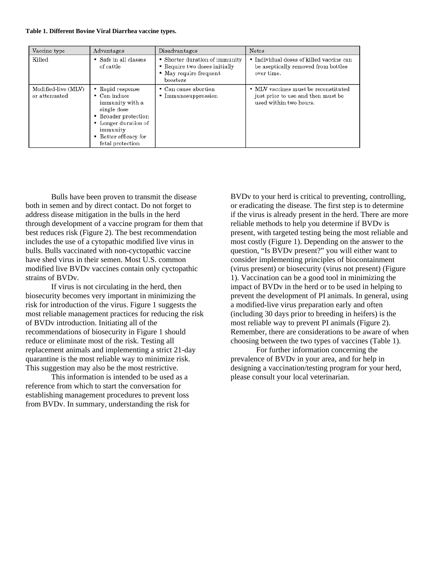### **Table 1. Different Bovine Viral Diarrhea vaccine types.**

| Vaccine type                         | Advantages                                                                                                                                                                          | Disadvantages                                                                                         | <b>Notes</b>                                                                                         |
|--------------------------------------|-------------------------------------------------------------------------------------------------------------------------------------------------------------------------------------|-------------------------------------------------------------------------------------------------------|------------------------------------------------------------------------------------------------------|
| Killed                               | • Safe in all classes<br>of cattle                                                                                                                                                  | • Shorter duration of immunity<br>• Require two doses initially<br>• May require frequent<br>boosters | • Individual doses of killed vaccine can<br>be aseptically removed from bottles<br>over time.        |
| Modified-live (MLV)<br>or attenuated | • Rapid response<br>$\bullet$ Can induce<br>immunity with a<br>single dose<br>• Broader protection<br>• Longer duration of<br>immunity<br>• Better efficacy for<br>fetal protection | • Can cause abortion<br>• Immunosuppression                                                           | • MLV vaccines must be reconstituted<br>just prior to use and then must be<br>used within two hours. |

Bulls have been proven to transmit the disease both in semen and by direct contact. Do not forget to address disease mitigation in the bulls in the herd through development of a vaccine program for them that best reduces risk (Figure 2). The best recommendation includes the use of a cytopathic modified live virus in bulls. Bulls vaccinated with non-cyctopathic vaccine have shed virus in their semen. Most U.S. common modified live BVDv vaccines contain only cyctopathic strains of BVDv.

If virus is not circulating in the herd, then biosecurity becomes very important in minimizing the risk for introduction of the virus. Figure 1 suggests the most reliable management practices for reducing the risk of BVDv introduction. Initiating all of the recommendations of biosecurity in Figure 1 should reduce or eliminate most of the risk. Testing all replacement animals and implementing a strict 21-day quarantine is the most reliable way to minimize risk. This suggestion may also be the most restrictive.

This information is intended to be used as a reference from which to start the conversation for establishing management procedures to prevent loss from BVDv. In summary, understanding the risk for

BVDv to your herd is critical to preventing, controlling, or eradicating the disease. The first step is to determine if the virus is already present in the herd. There are more reliable methods to help you determine if BVDv is present, with targeted testing being the most reliable and most costly (Figure 1). Depending on the answer to the question, "Is BVDv present?" you will either want to consider implementing principles of biocontainment (virus present) or biosecurity (virus not present) (Figure 1). Vaccination can be a good tool in minimizing the impact of BVDv in the herd or to be used in helping to prevent the development of PI animals. In general, using a modified-live virus preparation early and often (including 30 days prior to breeding in heifers) is the most reliable way to prevent PI animals (Figure 2). Remember, there are considerations to be aware of when choosing between the two types of vaccines (Table 1).

For further information concerning the prevalence of BVDv in your area, and for help in designing a vaccination/testing program for your herd, please consult your local veterinarian.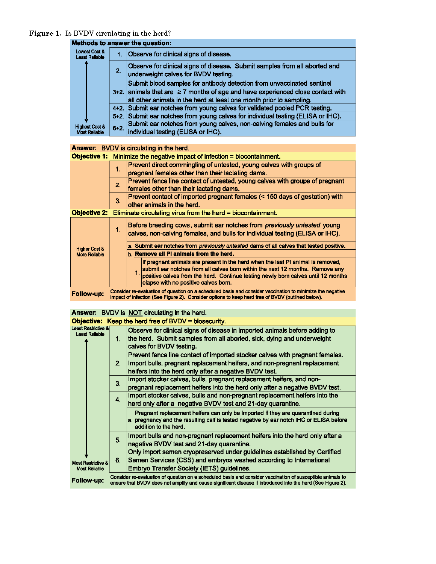# Figure 1. Is BVDV circulating in the herd?

|                                                   |        | Methods to answer the question:                                                                                                                                                                                                          |
|---------------------------------------------------|--------|------------------------------------------------------------------------------------------------------------------------------------------------------------------------------------------------------------------------------------------|
| Lowest Cost &<br><b>Least Reliable</b>            | $1 -$  | Observe for clinical signs of disease.                                                                                                                                                                                                   |
|                                                   | 2.     | Observe for clinical signs of disease. Submit samples from all aborted and<br>underweight calves for BVDV testing.                                                                                                                       |
|                                                   |        | Submit blood samples for antibody detection from unvaccinated sentinel<br>$3+2$ . animals that are $\geq 7$ months of age and have experienced close contact with<br>all other animals in the herd at least one month prior to sampling. |
|                                                   |        | 4+2. Submit ear notches from young calves for validated pooled PCR testing.                                                                                                                                                              |
|                                                   |        | 5+2. Submit ear notches from young calves for individual testing (ELISA or IHC).                                                                                                                                                         |
| <b>Highest Cost &amp;</b><br><b>Most Reliable</b> | $6+2.$ | Submit ear notches from young calves, non-calving females and bulls for<br>individual testing (ELISA or IHC).                                                                                                                            |

### Answer: BVDV is circulating in the herd.

Objective 1: Minimize the negative impact of infection = biocontainment.

|                          | 1 <sub>1</sub>                                                                                                                                                                                                | Prevent direct commingling of untested, young calves with groups of<br>pregnant females other than their lactating dams.                                                                                                                                                                      |  |  |
|--------------------------|---------------------------------------------------------------------------------------------------------------------------------------------------------------------------------------------------------------|-----------------------------------------------------------------------------------------------------------------------------------------------------------------------------------------------------------------------------------------------------------------------------------------------|--|--|
|                          | 2.                                                                                                                                                                                                            | Prevent fence line contact of untested, young calves with groups of pregnant<br>females other than their lactating dams.                                                                                                                                                                      |  |  |
|                          | 3.                                                                                                                                                                                                            | Prevent contact of imported pregnant females (< 150 days of gestation) with<br>other animals in the herd.                                                                                                                                                                                     |  |  |
|                          | <b>Objective 2:</b> Eliminate circulating virus from the herd = biocontainment.                                                                                                                               |                                                                                                                                                                                                                                                                                               |  |  |
|                          | 1.                                                                                                                                                                                                            | Before breeding cows, submit ear notches from previously untested young<br>calves, non-calving females, and bulls for individual testing (ELISA or IHC).                                                                                                                                      |  |  |
| <b>Higher Cost &amp;</b> |                                                                                                                                                                                                               | a. Submit ear notches from <i>previously untested</i> dams of all calves that tested positive.                                                                                                                                                                                                |  |  |
| <b>More Reliable</b>     |                                                                                                                                                                                                               | b. Remove all PI animals from the herd.                                                                                                                                                                                                                                                       |  |  |
|                          |                                                                                                                                                                                                               | If pregnant animals are present in the herd when the last PI animal is removed,<br>submit ear notches from all calves born within the next 12 months. Remove any<br>positive calves from the herd. Continue testing newly born calves until 12 months<br>elapse with no positive calves born. |  |  |
| Follow-up:               | Consider re-evaluation of question on a scheduled basis and consider vaccination to minimize the negative<br>impact of infection (See Figure 2). Consider options to keep herd free of BVDV (outlined below). |                                                                                                                                                                                                                                                                                               |  |  |

# Answer: RVDV is NOT circulating in the herd

| <b>THERE:</b> PYPY IS NOT CROWING IN THE HOLD.          |                                                                                                             |                                                                                                                  |  |
|---------------------------------------------------------|-------------------------------------------------------------------------------------------------------------|------------------------------------------------------------------------------------------------------------------|--|
|                                                         |                                                                                                             | Objective: Keep the herd free of BVDV = biosecurity.                                                             |  |
| <b>Least Restrictive &amp;</b><br><b>Least Reliable</b> |                                                                                                             | Observe for clinical signs of disease in imported animals before adding to                                       |  |
|                                                         | $1_{-}$                                                                                                     | the herd. Submit samples from all aborted, sick, dying and underweight                                           |  |
|                                                         |                                                                                                             | calves for BVDV testing.                                                                                         |  |
|                                                         |                                                                                                             | Prevent fence line contact of imported stocker calves with pregnant females.                                     |  |
|                                                         | 2 <sub>1</sub>                                                                                              | Import bulls, pregnant replacement heifers, and non-pregnant replacement                                         |  |
|                                                         |                                                                                                             | heifers into the herd only after a negative BVDV test.                                                           |  |
|                                                         | 3.                                                                                                          | Import stocker calves, bulls, pregnant replacement heifers, and non-                                             |  |
|                                                         |                                                                                                             | pregnant replacement heifers into the herd only after a negative BVDV test.                                      |  |
|                                                         | $\overline{4}$                                                                                              | Import stocker calves, bulls and non-pregnant replacement heifers into the                                       |  |
|                                                         |                                                                                                             | herd only after a negative BVDV test and 21-day quarantine.                                                      |  |
|                                                         |                                                                                                             | Pregnant replacement heifers can only be imported if they are quarantined during                                 |  |
|                                                         |                                                                                                             | a. pregnancy and the resulting calf is tested negative by ear notch IHC or ELISA before<br>addition to the herd. |  |
|                                                         |                                                                                                             | Import bulls and non-pregnant replacement heifers into the herd only after a                                     |  |
|                                                         | 5.                                                                                                          | negative BVDV test and 21-day quarantine.                                                                        |  |
|                                                         |                                                                                                             | Only import semen cryopreserved under guidelines established by Certified                                        |  |
|                                                         | 6.                                                                                                          | Semen Services (CSS) and embryos washed according to International                                               |  |
| <b>Most Restrictive &amp;</b><br><b>Most Reliable</b>   |                                                                                                             | Embryo Transfer Society (IETS) guidelines.                                                                       |  |
|                                                         |                                                                                                             | Consider re-evaluation of question on a scheduled basis and consider vaccination of susceptible animals to       |  |
| Follow-up:                                              | ensure that BVDV does not amplify and cause significant disease if introduced into the herd (See Figure 2). |                                                                                                                  |  |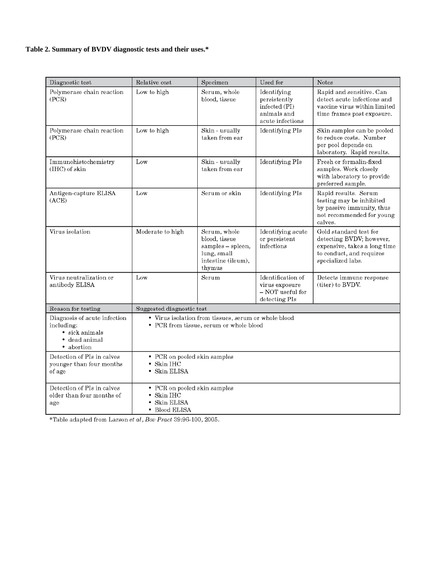## **Table 2. Summary of BVDV diagnostic tests and their uses.\***

| Diagnostic test                                                                           | Relative cost                                                           | Specimen                                                                                          | Used for                                                                        | <b>Notes</b>                                                                                                                        |
|-------------------------------------------------------------------------------------------|-------------------------------------------------------------------------|---------------------------------------------------------------------------------------------------|---------------------------------------------------------------------------------|-------------------------------------------------------------------------------------------------------------------------------------|
| Polymerase chain reaction<br>(PCR)                                                        | Low to high                                                             | Serum, whole<br>blood, tissue                                                                     | Identifying<br>persistently<br>infected (PI)<br>animals and<br>acute infections | Rapid and sensitive. Can<br>detect acute infections and<br>vaccine virus within limited<br>time frames post exposure.               |
| Polymerase chain reaction<br>(PCR)                                                        | Low to high                                                             | Skin - usually<br>taken from ear                                                                  | Identifying PIs                                                                 | Skin samples can be pooled<br>to reduce costs. Number<br>per pool depends on<br>laboratory. Rapid results.                          |
| Immunohistochemistry<br>(IHC) of skin                                                     | Low                                                                     | Skin - usually<br>taken from ear                                                                  | Identifying PIs                                                                 | Fresh or formalin-fixed<br>samples. Work closely<br>with laboratory to provide<br>preferred sample.                                 |
| Antigen-capture ELISA<br>(ACE)                                                            | Low                                                                     | Serum or skin                                                                                     | Identifying PIs                                                                 | Rapid results. Serum<br>testing may be inhibited<br>by passive immunity, thus<br>not recommended for young<br>calves.               |
| Virus isolation                                                                           | Moderate to high                                                        | Serum, whole<br>blood, tissue<br>samples - spleen,<br>lung, small<br>intestine (ileum),<br>thymus | Identifying acute<br>or persistent<br>infections                                | Gold standard test for<br>detecting BVDV; however,<br>expensive, takes a long time<br>to conduct, and requires<br>specialized labs. |
| Virus neutralization or<br>antibody ELISA                                                 | Low                                                                     | Serum                                                                                             | Identification of<br>virus exposure<br>- NOT useful for<br>detecting PIs        | Detects immune response<br>(titer) to BVDV.                                                                                         |
| Reason for testing                                                                        | Suggested diagnostic test                                               |                                                                                                   |                                                                                 |                                                                                                                                     |
| Diagnosis of acute infection<br>including:<br>• sick animals<br>dead animal<br>• abortion |                                                                         | • Virus isolation from tissues, serum or whole blood<br>• PCR from tissue, serum or whole blood   |                                                                                 |                                                                                                                                     |
| Detection of PIs in calves<br>younger than four months<br>of age                          | • PCR on pooled skin samples<br>• Skin IHC<br>· Skin ELISA              |                                                                                                   |                                                                                 |                                                                                                                                     |
| Detection of PIs in calves<br>older than four months of<br>age                            | • PCR on pooled skin samples<br>Skin IHC<br>Skin ELISA<br>• Blood ELISA |                                                                                                   |                                                                                 |                                                                                                                                     |

\*Table adapted from Larson et al, Bov Pract 39:96-100, 2005.